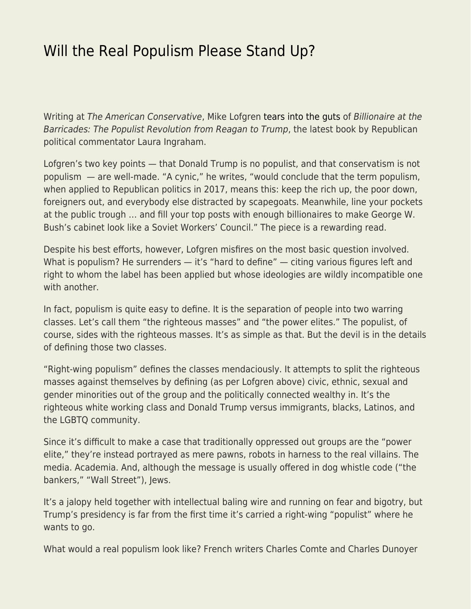## [Will the Real Populism Please Stand Up?](https://everything-voluntary.com/will-real-populism-please-stand)

Writing at The American Conservative, Mike Lofgren [tears into the guts](http://www.theamericanconservative.com/articles/laura-ingrahams-phony-populism/) of Billionaire at the Barricades: The Populist Revolution from Reagan to Trump, the latest book by Republican political commentator Laura Ingraham.

Lofgren's two key points — that Donald Trump is no populist, and that conservatism is not populism — are well-made. "A cynic," he writes, "would conclude that the term populism, when applied to Republican politics in 2017, means this: keep the rich up, the poor down, foreigners out, and everybody else distracted by scapegoats. Meanwhile, line your pockets at the public trough … and fill your top posts with enough billionaires to make George W. Bush's cabinet look like a Soviet Workers' Council." The piece is a rewarding read.

Despite his best efforts, however, Lofgren misfires on the most basic question involved. What is populism? He surrenders — it's "hard to define" — citing various figures left and right to whom the label has been applied but whose ideologies are wildly incompatible one with another.

In fact, populism is quite easy to define. It is the separation of people into two warring classes. Let's call them "the righteous masses" and "the power elites." The populist, of course, sides with the righteous masses. It's as simple as that. But the devil is in the details of defining those two classes.

"Right-wing populism" defines the classes mendaciously. It attempts to split the righteous masses against themselves by defining (as per Lofgren above) civic, ethnic, sexual and gender minorities out of the group and the politically connected wealthy in. It's the righteous white working class and Donald Trump versus immigrants, blacks, Latinos, and the LGBTQ community.

Since it's difficult to make a case that traditionally oppressed out groups are the "power elite," they're instead portrayed as mere pawns, robots in harness to the real villains. The media. Academia. And, although the message is usually offered in dog whistle code ("the bankers," "Wall Street"), Jews.

It's a jalopy held together with intellectual baling wire and running on fear and bigotry, but Trump's presidency is far from the first time it's carried a right-wing "populist" where he wants to go.

What would a real populism look like? French writers Charles Comte and Charles Dunoyer